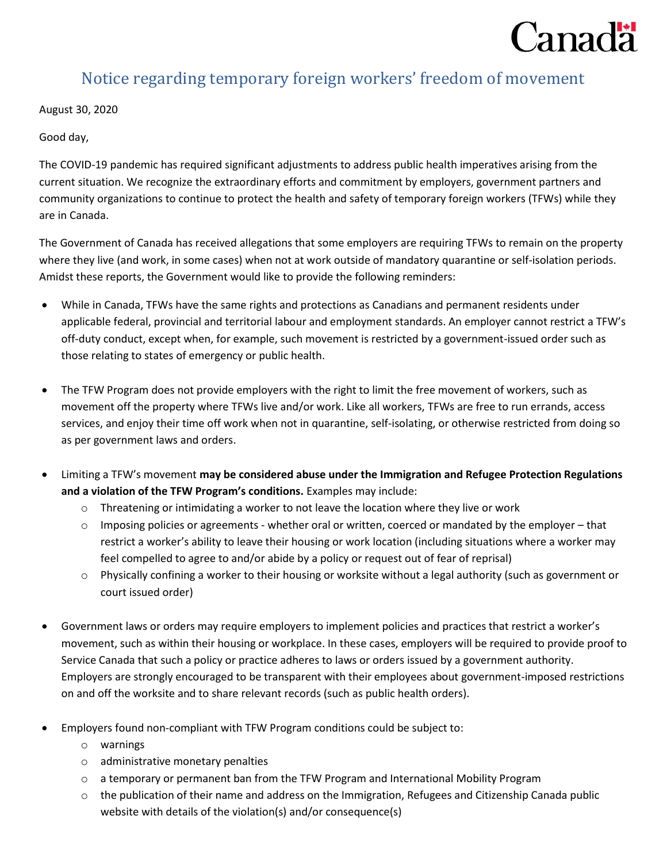

## Notice regarding temporary foreign workers' freedom of movement

August 30, 2020

Good day,

The COVID-19 pandemic has required significant adjustments to address public health imperatives arising from the current situation. We recognize the extraordinary efforts and commitment by employers, government partners and community organizations to continue to protect the health and safety of temporary foreign workers (TFWs) while they are in Canada.

The Government of Canada has received allegations that some employers are requiring TFWs to remain on the property where they live (and work, in some cases) when not at work outside of mandatory quarantine or self-isolation periods. Amidst these reports, the Government would like to provide the following reminders:

- While in Canada, TFWs have the same rights and protections as Canadians and permanent residents under applicable federal, provincial and territorial labour and employment standards. An employer cannot restrict a TFW's off-duty conduct, except when, for example, such movement is restricted by a government-issued order such as those relating to states of emergency or public health.
- The TFW Program does not provide employers with the right to limit the free movement of workers, such as movement off the property where TFWs live and/or work. Like all workers, TFWs are free to run errands, access services, and enjoy their time off work when not in quarantine, self-isolating, or otherwise restricted from doing so as per government laws and orders.
- Limiting a TFW's movement **may be considered abuse under the Immigration and Refugee Protection Regulations and a violation of the TFW Program's conditions.** Examples may include:
	- $\circ$  Threatening or intimidating a worker to not leave the location where they live or work
	- $\circ$  Imposing policies or agreements whether oral or written, coerced or mandated by the employer that restrict a worker's ability to leave their housing or work location (including situations where a worker may feel compelled to agree to and/or abide by a policy or request out of fear of reprisal)
	- o Physically confining a worker to their housing or worksite without a legal authority (such as government or court issued order)
- Government laws or orders may require employers to implement policies and practices that restrict a worker's movement, such as within their housing or workplace. In these cases, employers will be required to provide proof to Service Canada that such a policy or practice adheres to laws or orders issued by a government authority. Employers are strongly encouraged to be transparent with their employees about government-imposed restrictions on and off the worksite and to share relevant records (such as public health orders).
- Employers found non-compliant with TFW Program conditions could be subject to:
	- o warnings
	- o administrative monetary penalties
	- o a temporary or permanent ban from the TFW Program and International Mobility Program
	- $\circ$  the publication of their name and address on the Immigration, Refugees and Citizenship Canada public website with details of the violation(s) and/or consequence(s)